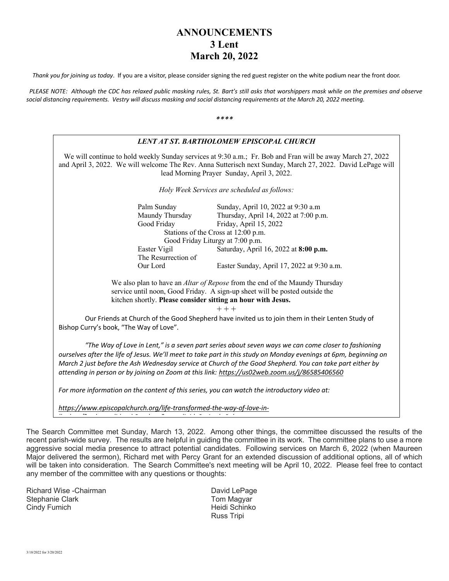## **ANNOUNCEMENTS 3 Lent March 20, 2022**

*Thank you for joining us today*. If you are a visitor, please consider signing the red guest register on the white podium near the front door.

 *PLEASE NOTE: Although the CDC has relaxed public masking rules, St. Bart's still asks that worshippers mask while on the premises and observe social distancing requirements. Vestry will discuss masking and social distancing requirements at the March 20, 2022 meeting.*

*\*\*\*\**



The Search Committee met Sunday, March 13, 2022. Among other things, the committee discussed the results of the recent parish-wide survey. The results are helpful in guiding the committee in its work. The committee plans to use a more aggressive social media presence to attract potential candidates. Following services on March 6, 2022 (when Maureen Major delivered the sermon), Richard met with Percy Grant for an extended discussion of additional options, all of which will be taken into consideration. The Search Committee's next meeting will be April 10, 2022. Please feel free to contact any member of the committee with any questions or thoughts:

Richard Wise -Chairman **David LePage** David LePage Stephanie Clark Tom Magyar Cindy Fumich **Heidi Schinko Heidi** Schinko

Russ Tripi